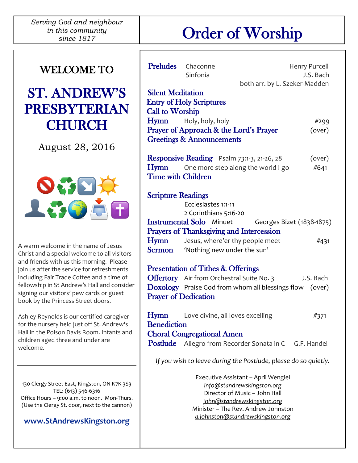# Order of Worship

## ST. ANDREW'S PRESBYTERIAN **CHURCH**

August 28, 2016



A warm welcome in the name of Jesus Christ and a special welcome to all visitors and friends with us this morning. Please join us after the service for refreshments including Fair Trade Coffee and a time of fellowship in St Andrew's Hall and consider signing our visitors' pew cards or guest book by the Princess Street doors.

Ashley Reynolds is our certified caregiver for the nursery held just off St. Andrew's Hall in the Polson Davis Room. Infants and children aged three and under are welcome.

130 Clergy Street East, Kingston, ON K7K 3S3 TEL: (613) 546-6316 Office Hours – 9:00 a.m. to noon. Mon-Thurs. (Use the Clergy St. door, next to the cannon)

#### **[www.StAndrewsKingston.org](http://www.standrewskingston.org/)**

| Preludes                   | Chaconne                                                                                                     | Henry Purcell |  |
|----------------------------|--------------------------------------------------------------------------------------------------------------|---------------|--|
|                            | Sinfonia                                                                                                     | J.S. Bach     |  |
| <b>Silent Meditation</b>   | both arr. by L. Szeker-Madden                                                                                |               |  |
|                            | <b>Entry of Holy Scriptures</b>                                                                              |               |  |
| <b>Call to Worship</b>     |                                                                                                              |               |  |
|                            | <b>Hymn</b> Holy, holy, holy                                                                                 | #299          |  |
|                            | Prayer of Approach & the Lord's Prayer                                                                       | (over)        |  |
|                            | <b>Greetings &amp; Announcements</b>                                                                         |               |  |
|                            |                                                                                                              |               |  |
|                            | <b>Responsive Reading</b> Psalm 73:1-3, 21-26, 28                                                            | (over)        |  |
|                            | <b>Hymn</b> One more step along the world I go                                                               | #641          |  |
| Time with Children         |                                                                                                              |               |  |
|                            |                                                                                                              |               |  |
| <b>Scripture Readings</b>  |                                                                                                              |               |  |
|                            | Ecclesiastes 1:1-11                                                                                          |               |  |
|                            | 2 Corinthians 5:16-20                                                                                        |               |  |
|                            | <b>Instrumental Solo</b> Minuet Georges Bizet (1838-1875)<br><b>Prayers of Thanksgiving and Intercession</b> |               |  |
| Hymn                       | Jesus, where'er thy people meet                                                                              | #431          |  |
|                            | <b>Sermon</b> 'Nothing new under the sun'                                                                    |               |  |
|                            |                                                                                                              |               |  |
|                            | <b>Presentation of Tithes &amp; Offerings</b>                                                                |               |  |
|                            | <b>Offertory</b> Air from Orchestral Suite No. 3                                                             | J.S. Bach     |  |
|                            | Doxology Praise God from whom all blessings flow (over)                                                      |               |  |
|                            | <b>Prayer of Dedication</b>                                                                                  |               |  |
|                            |                                                                                                              |               |  |
| Hymn                       | Love divine, all loves excelling                                                                             | #371          |  |
| <b>Benediction</b>         |                                                                                                              |               |  |
|                            | <b>Choral Congregational Amen</b>                                                                            |               |  |
| <b>Postlude</b>            | Allegro from Recorder Sonata in C G.F. Handel                                                                |               |  |
|                            | If you wish to leave during the Postlude, please do so quietly.                                              |               |  |
|                            | Executive Assistant - April Wengiel                                                                          |               |  |
| info@standrewskingston.org |                                                                                                              |               |  |
|                            | Director of Music - John Hall                                                                                |               |  |
|                            | john@standrewskingston.org<br>Minister - The Rev. Andrew Johnston                                            |               |  |
|                            | a.johnston@standrewskingston.org                                                                             |               |  |
|                            |                                                                                                              |               |  |
|                            |                                                                                                              |               |  |

-